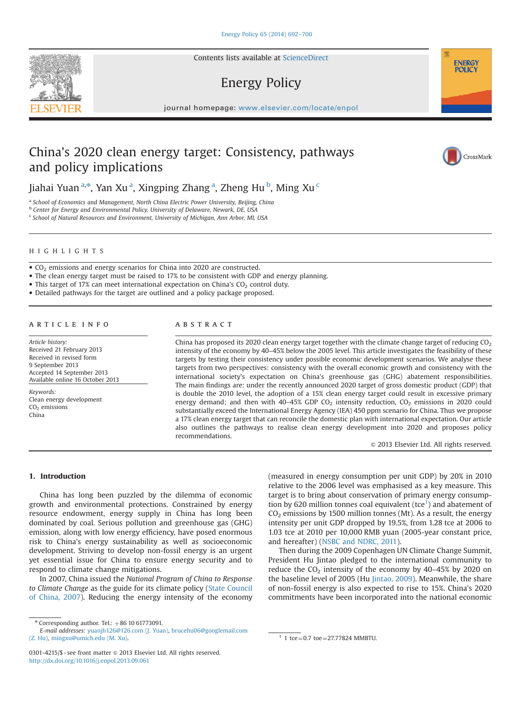Contents lists available at [ScienceDirect](www.sciencedirect.com/science/journal/03014215)

# Energy Policy

journal homepage: <www.elsevier.com/locate/enpol>ynomials/ $\mathcal{L}$ 

# China's 2020 clean energy target: Consistency, pathways and policy implications

Jiahai Yuan<sup>a,\*</sup>, Yan Xu<sup>a</sup>, Xingping Zhang<sup>a</sup>, Zheng Hu<sup>b</sup>, Ming Xu<sup>c</sup>

<sup>a</sup> School of Economics and Management, North China Electric Power University, Beijing, China

b Center for Energy and Environmental Policy, University of Delaware, Newark, DE, USA

<sup>c</sup> School of Natural Resources and Environment, University of Michigan, Ann Arbor, MI, USA

## HIGHLIGHTS

CO2 emissions and energy scenarios for China into 2020 are constructed.

The clean energy target must be raised to 17% to be consistent with GDP and energy planning.

 $\bullet$  This target of 17% can meet international expectation on China's CO<sub>2</sub> control duty.

Detailed pathways for the target are outlined and a policy package proposed.

### article info

Article history: Received 21 February 2013 Received in revised form 9 September 2013 Accepted 14 September 2013 Available online 16 October 2013

Keywords: Clean energy development  $CO<sub>2</sub>$  emissions China

# ABSTRACT

China has proposed its 2020 clean energy target together with the climate change target of reducing  $CO<sub>2</sub>$ intensity of the economy by 40–45% below the 2005 level. This article investigates the feasibility of these targets by testing their consistency under possible economic development scenarios. We analyse these targets from two perspectives: consistency with the overall economic growth and consistency with the international society's expectation on China's greenhouse gas (GHG) abatement responsibilities. The main findings are: under the recently announced 2020 target of gross domestic product (GDP) that is double the 2010 level, the adoption of a 15% clean energy target could result in excessive primary energy demand; and then with  $40-45\%$  GDP CO<sub>2</sub> intensity reduction, CO<sub>2</sub> emissions in 2020 could substantially exceed the International Energy Agency (IEA) 450 ppm scenario for China. Thus we propose a 17% clean energy target that can reconcile the domestic plan with international expectation. Our article also outlines the pathways to realise clean energy development into 2020 and proposes policy recommendations.

 $©$  2013 Elsevier Ltd. All rights reserved.

1. Introduction

China has long been puzzled by the dilemma of economic growth and environmental protections. Constrained by energy resource endowment, energy supply in China has long been dominated by coal. Serious pollution and greenhouse gas (GHG) emission, along with low energy efficiency, have posed enormous risk to China's energy sustainability as well as socioeconomic development. Striving to develop non-fossil energy is an urgent yet essential issue for China to ensure energy security and to respond to climate change mitigations.

In 2007, China issued the National Program of China to Response to Climate Change as the guide for its climate policy [\(State Council](#page-8-0) [of China, 2007\)](#page-8-0). Reducing the energy intensity of the economy (measured in energy consumption per unit GDP) by 20% in 2010 relative to the 2006 level was emphasised as a key measure. This target is to bring about conservation of primary energy consumption by 620 million tonnes coal equivalent (tce<sup>1</sup>) and abatement of  $CO<sub>2</sub>$  emissions by 1500 million tonnes (Mt). As a result, the energy intensity per unit GDP dropped by 19.5%, from 1.28 tce at 2006 to 1.03 tce at 2010 per 10,000 RMB yuan (2005-year constant price, and hereafter) ([NSBC and NDRC, 2011](#page-8-0)).

Then during the 2009 Copenhagen UN Climate Change Summit, President Hu Jintao pledged to the international community to reduce the  $CO<sub>2</sub>$  intensity of the economy by 40–45% by 2020 on the baseline level of 2005 (Hu [Jintao, 2009\)](#page-8-0). Meanwhile, the share of non-fossil energy is also expected to rise to 15%. China's 2020 commitments have been incorporated into the national economic





**ENERGY POLICY** 

 $*$  Corresponding author. Tel.:  $+86$  10 61773091.

E-mail addresses: [yuanjh126@126.com \(J. Yuan\)](mailto:yuanjh126@126.com), [brucehu06@googlemail.com](mailto:brucehu06@googlemail.com)  $(2. Hu)$ , [mingxu@umich.edu \(M. Xu\)](mailto:mingxu@umich.edu). 1 1 tce=0.7 toe=27.77824 MMBTU.

<sup>0301-4215/\$ -</sup> see front matter @ 2013 Elsevier Ltd. All rights reserved. <http://dx.doi.org/10.1016/j.enpol.2013.09.061>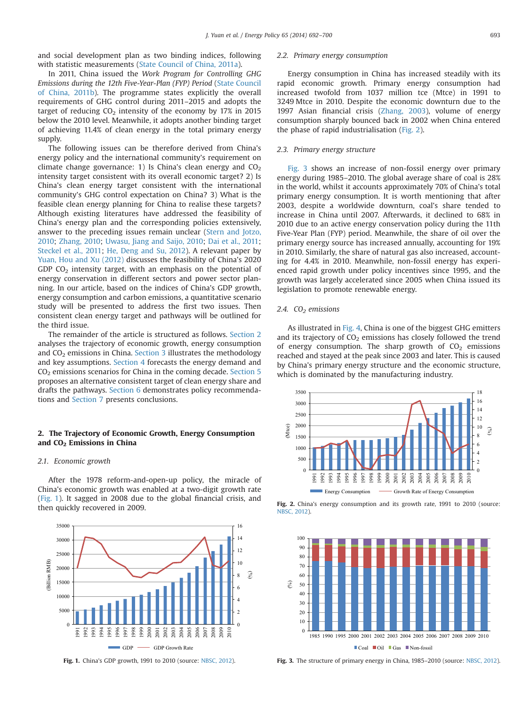and social development plan as two binding indices, following with statistic measurements ([State Council of China, 2011a\)](#page-8-0).

In 2011, China issued the Work Program for Controlling GHG Emissions during the 12th Five-Year-Plan (FYP) Period [\(State Council](#page-8-0) [of China, 2011b\)](#page-8-0). The programme states explicitly the overall requirements of GHG control during 2011–2015 and adopts the target of reducing  $CO<sub>2</sub>$  intensity of the economy by 17% in 2015 below the 2010 level. Meanwhile, it adopts another binding target of achieving 11.4% of clean energy in the total primary energy supply.

The following issues can be therefore derived from China's energy policy and the international community's requirement on climate change governance: 1) Is China's clean energy and  $CO<sub>2</sub>$ intensity target consistent with its overall economic target? 2) Is China's clean energy target consistent with the international community's GHG control expectation on China? 3) What is the feasible clean energy planning for China to realise these targets? Although existing literatures have addressed the feasibility of China's energy plan and the corresponding policies extensively, answer to the preceding issues remain unclear [\(Stern and Jotzo,](#page-8-0) [2010;](#page-8-0) [Zhang, 2010;](#page-8-0) [Uwasu, Jiang and Saijo, 2010](#page-8-0); [Dai et al., 2011;](#page-8-0) [Steckel et al., 2011](#page-8-0); [He, Deng and Su, 2012\)](#page-8-0). A relevant paper by [Yuan, Hou and Xu \(2012\)](#page-8-0) discusses the feasibility of China's 2020 GDP  $CO<sub>2</sub>$  intensity target, with an emphasis on the potential of energy conservation in different sectors and power sector planning. In our article, based on the indices of China's GDP growth, energy consumption and carbon emissions, a quantitative scenario study will be presented to address the first two issues. Then consistent clean energy target and pathways will be outlined for the third issue.

The remainder of the article is structured as follows. Section 2 analyses the trajectory of economic growth, energy consumption and  $CO<sub>2</sub>$  emissions in China. [Section 3](#page-2-0) illustrates the methodology and key assumptions. [Section 4](#page-3-0) forecasts the energy demand and  $CO<sub>2</sub>$  emissions scenarios for China in the coming decade. [Section 5](#page-4-0) proposes an alternative consistent target of clean energy share and drafts the pathways. [Section 6](#page-6-0) demonstrates policy recommendations and [Section 7](#page-7-0) presents conclusions.

## 2. The Trajectory of Economic Growth, Energy Consumption and CO<sub>2</sub> Emissions in China

#### 2.1. Economic growth

After the 1978 reform-and-open-up policy, the miracle of China's economic growth was enabled at a two-digit growth rate (Fig. 1). It sagged in 2008 due to the global financial crisis, and then quickly recovered in 2009.



Fig. 1. China's GDP growth, 1991 to 2010 (source: [NBSC, 2012\)](#page-8-0).

#### 2.2. Primary energy consumption

Energy consumption in China has increased steadily with its rapid economic growth. Primary energy consumption had increased twofold from 1037 million tce (Mtce) in 1991 to 3249 Mtce in 2010. Despite the economic downturn due to the 1997 Asian financial crisis [\(Zhang, 2003\)](#page-8-0), volume of energy consumption sharply bounced back in 2002 when China entered the phase of rapid industrialisation (Fig. 2).

#### 2.3. Primary energy structure

Fig. 3 shows an increase of non-fossil energy over primary energy during 1985–2010. The global average share of coal is 28% in the world, whilst it accounts approximately 70% of China's total primary energy consumption. It is worth mentioning that after 2003, despite a worldwide downturn, coal's share tended to increase in China until 2007. Afterwards, it declined to 68% in 2010 due to an active energy conservation policy during the 11th Five-Year Plan (FYP) period. Meanwhile, the share of oil over the primary energy source has increased annually, accounting for 19% in 2010. Similarly, the share of natural gas also increased, accounting for 4.4% in 2010. Meanwhile, non-fossil energy has experienced rapid growth under policy incentives since 1995, and the growth was largely accelerated since 2005 when China issued its legislation to promote renewable energy.

# 2.4.  $CO<sub>2</sub>$  emissions

As illustrated in [Fig. 4](#page-2-0), China is one of the biggest GHG emitters and its trajectory of  $CO<sub>2</sub>$  emissions has closely followed the trend of energy consumption. The sharp growth of  $CO<sub>2</sub>$  emissions reached and stayed at the peak since 2003 and later. This is caused by China's primary energy structure and the economic structure, which is dominated by the manufacturing industry.



Fig. 2. China's energy consumption and its growth rate, 1991 to 2010 (source: [NBSC, 2012](#page-8-0)).



Fig. 3. The structure of primary energy in China, 1985-2010 (source: [NBSC, 2012\)](#page-8-0).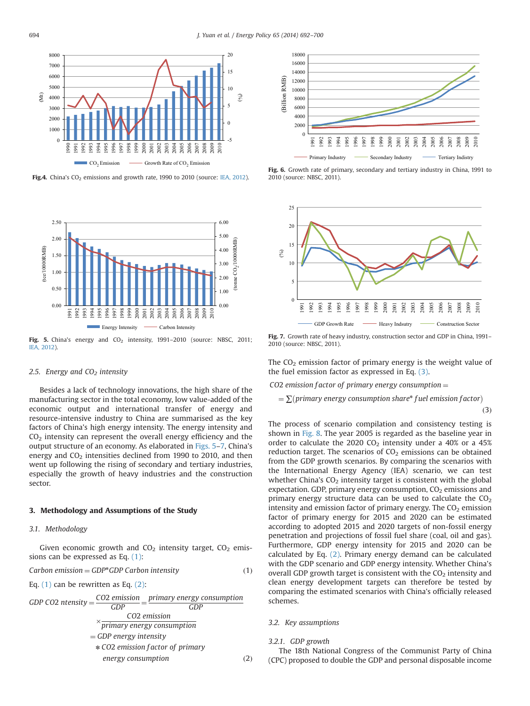<span id="page-2-0"></span>

Fig.4. China's  $CO<sub>2</sub>$  emissions and growth rate, 1990 to 2010 (source: [IEA, 2012](#page-8-0)).



Fig. 5. China's energy and  $CO<sub>2</sub>$  intensity, 1991–2010 (source: NBSC, 2011; [IEA, 2012](#page-8-0)).

## 2.5. Energy and  $CO<sub>2</sub>$  intensity

Besides a lack of technology innovations, the high share of the manufacturing sector in the total economy, low value-added of the economic output and international transfer of energy and resource-intensive industry to China are summarised as the key factors of China's high energy intensity. The energy intensity and  $CO<sub>2</sub>$  intensity can represent the overall energy efficiency and the output structure of an economy. As elaborated in Figs. 5–7, China's energy and  $CO<sub>2</sub>$  intensities declined from 1990 to 2010, and then went up following the rising of secondary and tertiary industries, especially the growth of heavy industries and the construction sector.

## 3. Methodology and Assumptions of the Study

## 3.1. Methodology

Given economic growth and  $CO<sub>2</sub>$  intensity target,  $CO<sub>2</sub>$  emissions can be expressed as Eq. (1):

$$
Carbon emission = GDP*GDP Carbon intensity
$$
 (1)

Eq.  $(1)$  can be rewritten as Eq.  $(2)$ :

GDP CO2 intensity = 
$$
\frac{CO2 \text{ emission}}{GDP} = \frac{\text{primary energy consumption}}{GDP}
$$

$$
\times \frac{CO2 \text{ emission}}{\text{primary energy consumption}}
$$

$$
= GDP \text{ energy intensity}
$$

$$
\times CO2 \text{ emission factor of primary energy consumption}
$$

$$
energy consumption \text{energy consumption}
$$
(2)



Fig. 6. Growth rate of primary, secondary and tertiary industry in China, 1991 to 2010 (source: NBSC, 2011).



Fig. 7. Growth rate of heavy industry, construction sector and GDP in China, 1991-2010 (source: NBSC, 2011).

The  $CO<sub>2</sub>$  emission factor of primary energy is the weight value of the fuel emission factor as expressed in Eq. (3).

CO2 emission factor of primary energy consumption  $=$ 

 $=\sum (primary energy consumption share* fuel emission factor)$ 

 $(3)$ 

The process of scenario compilation and consistency testing is shown in [Fig. 8](#page-3-0). The year 2005 is regarded as the baseline year in order to calculate the 2020  $CO<sub>2</sub>$  intensity under a 40% or a 45% reduction target. The scenarios of  $CO<sub>2</sub>$  emissions can be obtained from the GDP growth scenarios. By comparing the scenarios with the International Energy Agency (IEA) scenario, we can test whether China's  $CO<sub>2</sub>$  intensity target is consistent with the global expectation. GDP, primary energy consumption,  $CO<sub>2</sub>$  emissions and primary energy structure data can be used to calculate the  $CO<sub>2</sub>$ intensity and emission factor of primary energy. The  $CO<sub>2</sub>$  emission factor of primary energy for 2015 and 2020 can be estimated according to adopted 2015 and 2020 targets of non-fossil energy penetration and projections of fossil fuel share (coal, oil and gas). Furthermore, GDP energy intensity for 2015 and 2020 can be calculated by Eq. (2). Primary energy demand can be calculated with the GDP scenario and GDP energy intensity. Whether China's overall GDP growth target is consistent with the  $CO<sub>2</sub>$  intensity and clean energy development targets can therefore be tested by comparing the estimated scenarios with China's officially released schemes.

#### 3.2. Key assumptions

#### 3.2.1. GDP growth

The 18th National Congress of the Communist Party of China (CPC) proposed to double the GDP and personal disposable income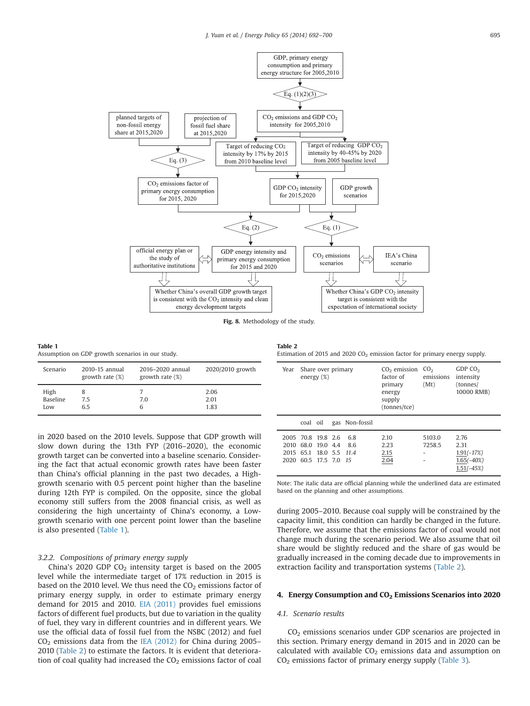<span id="page-3-0"></span>

Fig. 8. Methodology of the study.

Table 1 Assumption on GDP growth scenarios in our study.

| Scenario                       | 2010-15 annual<br>growth rate $(\%)$ | 2016-2020 annual<br>growth rate $(\%)$ | 2020/2010 growth     |  |  |
|--------------------------------|--------------------------------------|----------------------------------------|----------------------|--|--|
| High<br><b>Baseline</b><br>Low | 7.5<br>65                            | 7.0<br>6                               | 2.06<br>2.01<br>1.83 |  |  |

in 2020 based on the 2010 levels. Suppose that GDP growth will slow down during the 13th FYP (2016–2020), the economic growth target can be converted into a baseline scenario. Considering the fact that actual economic growth rates have been faster than China's official planning in the past two decades, a Highgrowth scenario with 0.5 percent point higher than the baseline during 12th FYP is compiled. On the opposite, since the global economy still suffers from the 2008 financial crisis, as well as considering the high uncertainty of China's economy, a Lowgrowth scenario with one percent point lower than the baseline is also presented (Table 1).

## 3.2.2. Compositions of primary energy supply

China's 2020 GDP  $CO<sub>2</sub>$  intensity target is based on the 2005 level while the intermediate target of 17% reduction in 2015 is based on the 2010 level. We thus need the  $CO<sub>2</sub>$  emissions factor of primary energy supply, in order to estimate primary energy demand for 2015 and 2010. [EIA \(2011\)](#page-8-0) provides fuel emissions factors of different fuel products, but due to variation in the quality of fuel, they vary in different countries and in different years. We use the official data of fossil fuel from the NSBC (2012) and fuel  $CO<sub>2</sub>$  emissions data from the [IEA \(2012\)](#page-8-0) for China during 2005– 2010 (Table 2) to estimate the factors. It is evident that deterioration of coal quality had increased the  $CO<sub>2</sub>$  emissions factor of coal

Table 2 Estimation of 2015 and 2020  $CO<sub>2</sub>$  emission factor for primary energy supply.

| Year |                         | Share over primary<br>energy $(\%)$ |                | $CO2$ emission<br>factor of<br>primary<br>energy<br>supply<br>(tonnes/tce) | CO <sub>2</sub><br>emissions<br>(Mt) | GDP CO <sub>2</sub><br>intensity<br>(tonnes/<br>10000 RMB) |
|------|-------------------------|-------------------------------------|----------------|----------------------------------------------------------------------------|--------------------------------------|------------------------------------------------------------|
|      | coal oil                |                                     | gas Non-fossil |                                                                            |                                      |                                                            |
|      | 2005 70.8 19.8 2.6      |                                     | 6.8            | 2.10                                                                       | 5103.0                               | 2.76                                                       |
| 2010 |                         | 68.0 19.0 4.4                       | 8.6            | 2.23                                                                       | 7258.5                               | 2.31                                                       |
|      | 2015 65.1 18.0 5.5 11.4 |                                     |                | 2.15                                                                       |                                      | $1.91(-17%)$                                               |
|      | 2020 60.5 17.5 7.0 15   |                                     |                | 2.04                                                                       |                                      | $1.65(-40%)$<br>$1.51(-45%)$                               |

Note: The italic data are official planning while the underlined data are estimated based on the planning and other assumptions.

during 2005–2010. Because coal supply will be constrained by the capacity limit, this condition can hardly be changed in the future. Therefore, we assume that the emissions factor of coal would not change much during the scenario period. We also assume that oil share would be slightly reduced and the share of gas would be gradually increased in the coming decade due to improvements in extraction facility and transportation systems (Table 2).

### 4. Energy Consumption and  $CO<sub>2</sub>$  Emissions Scenarios into 2020

#### 4.1. Scenario results

CO<sub>2</sub> emissions scenarios under GDP scenarios are projected in this section. Primary energy demand in 2015 and in 2020 can be calculated with available  $CO<sub>2</sub>$  emissions data and assumption on  $CO<sub>2</sub>$  emissions factor of primary energy supply ([Table 3](#page-4-0)).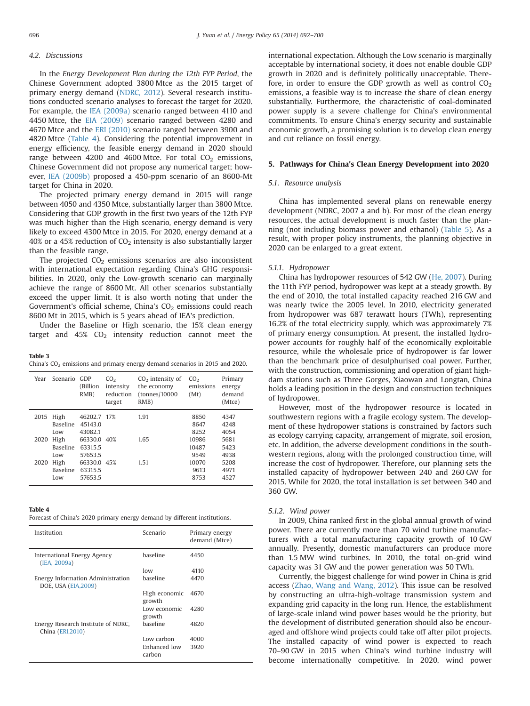# <span id="page-4-0"></span>4.2. Discussions

In the Energy Development Plan during the 12th FYP Period, the Chinese Government adopted 3800 Mtce as the 2015 target of primary energy demand [\(NDRC, 2012](#page-8-0)). Several research institutions conducted scenario analyses to forecast the target for 2020. For example, the [IEA \(2009a\)](#page-8-0) scenario ranged between 4110 and 4450 Mtce, the [EIA \(2009\)](#page-8-0) scenario ranged between 4280 and 4670 Mtce and the [ERI \(2010\)](#page-8-0) scenario ranged between 3900 and 4820 Mtce (Table 4). Considering the potential improvement in energy efficiency, the feasible energy demand in 2020 should range between 4200 and 4600 Mtce. For total  $CO<sub>2</sub>$  emissions, Chinese Government did not propose any numerical target; however, [IEA \(2009b\)](#page-8-0) proposed a 450-ppm scenario of an 8600-Mt target for China in 2020.

The projected primary energy demand in 2015 will range between 4050 and 4350 Mtce, substantially larger than 3800 Mtce. Considering that GDP growth in the first two years of the 12th FYP was much higher than the High scenario, energy demand is very likely to exceed 4300 Mtce in 2015. For 2020, energy demand at a 40% or a 45% reduction of  $CO<sub>2</sub>$  intensity is also substantially larger than the feasible range.

The projected  $CO<sub>2</sub>$  emissions scenarios are also inconsistent with international expectation regarding China's GHG responsibilities. In 2020, only the Low-growth scenario can marginally achieve the range of 8600 Mt. All other scenarios substantially exceed the upper limit. It is also worth noting that under the Government's official scheme, China's  $CO<sub>2</sub>$  emissions could reach 8600 Mt in 2015, which is 5 years ahead of IEA's prediction.

Under the Baseline or High scenario, the 15% clean energy target and  $45\%$  CO<sub>2</sub> intensity reduction cannot meet the

Table 3 China's CO<sub>2</sub> emissions and primary energy demand scenarios in 2015 and 2020.

| Year | Scenario                       | GDP<br>(Billion)<br>$RMB$ )       | CO <sub>2</sub><br>intensity<br>reduction<br>target | $CO2$ intensity of<br>the economy<br>(tonnes/10000<br>$RMB$ ) | CO <sub>2</sub><br>emissions<br>(Mt) | Primary<br>energy<br>demand<br>(Mtce) |
|------|--------------------------------|-----------------------------------|-----------------------------------------------------|---------------------------------------------------------------|--------------------------------------|---------------------------------------|
| 2015 | High<br><b>Baseline</b><br>Low | 46202.7 17%<br>45143.0<br>43082.1 |                                                     | 1.91                                                          | 8850<br>8647<br>8252                 | 4347<br>4248<br>4054                  |
| 2020 | High<br><b>Baseline</b><br>Low | 66330.0 40%<br>63315.5<br>57653.5 |                                                     | 1.65                                                          | 10986<br>10487<br>9549               | 5681<br>5423<br>4938                  |
| 2020 | High<br><b>Baseline</b><br>Low | 66330.0 45%<br>63315.5<br>57653.5 |                                                     | 1.51                                                          | 10070<br>9613<br>8753                | 5208<br>4971<br>4527                  |

#### Table 4

|  |  |  |  | Forecast of China's 2020 primary energy demand by different institutions. |
|--|--|--|--|---------------------------------------------------------------------------|

| Institution                                               | Scenario                             | Primary energy<br>demand (Mtce) |
|-----------------------------------------------------------|--------------------------------------|---------------------------------|
| International Energy Agency<br>(IEA, 2009a)               | baseline                             | 4450                            |
|                                                           | low                                  | 4110                            |
| Energy Information Administration<br>DOE, USA (EIA, 2009) | baseline                             | 4470                            |
|                                                           | High economic<br>growth              | 4670                            |
|                                                           | Low economic<br>growth               | 4280                            |
| Energy Research Institute of NDRC,<br>China (ERI, 2010)   | baseline                             | 4820                            |
|                                                           | Low carbon<br>Enhanced low<br>carbon | 4000<br>3920                    |
|                                                           |                                      |                                 |

international expectation. Although the Low scenario is marginally acceptable by international society, it does not enable double GDP growth in 2020 and is definitely politically unacceptable. Therefore, in order to ensure the GDP growth as well as control  $CO<sub>2</sub>$ emissions, a feasible way is to increase the share of clean energy substantially. Furthermore, the characteristic of coal-dominated power supply is a severe challenge for China's environmental commitments. To ensure China's energy security and sustainable economic growth, a promising solution is to develop clean energy and cut reliance on fossil energy.

# 5. Pathways for China's Clean Energy Development into 2020

## 5.1. Resource analysis

China has implemented several plans on renewable energy development (NDRC, 2007 a and b). For most of the clean energy resources, the actual development is much faster than the planning (not including biomass power and ethanol) [\(Table 5](#page-5-0)). As a result, with proper policy instruments, the planning objective in 2020 can be enlarged to a great extent.

#### 5.1.1. Hydropower

China has hydropower resources of 542 GW [\(He, 2007](#page-8-0)). During the 11th FYP period, hydropower was kept at a steady growth. By the end of 2010, the total installed capacity reached 216 GW and was nearly twice the 2005 level. In 2010, electricity generated from hydropower was 687 terawatt hours (TWh), representing 16.2% of the total electricity supply, which was approximately 7% of primary energy consumption. At present, the installed hydropower accounts for roughly half of the economically exploitable resource, while the wholesale price of hydropower is far lower than the benchmark price of desulphurised coal power. Further, with the construction, commissioning and operation of giant highdam stations such as Three Gorges, Xiaowan and Longtan, China holds a leading position in the design and construction techniques of hydropower.

However, most of the hydropower resource is located in southwestern regions with a fragile ecology system. The development of these hydropower stations is constrained by factors such as ecology carrying capacity, arrangement of migrate, soil erosion, etc. In addition, the adverse development conditions in the southwestern regions, along with the prolonged construction time, will increase the cost of hydropower. Therefore, our planning sets the installed capacity of hydropower between 240 and 260 GW for 2015. While for 2020, the total installation is set between 340 and 360 GW.

#### 5.1.2. Wind power

In 2009, China ranked first in the global annual growth of wind power. There are currently more than 70 wind turbine manufacturers with a total manufacturing capacity growth of 10 GW annually. Presently, domestic manufacturers can produce more than 1.5 MW wind turbines. In 2010, the total on-grid wind capacity was 31 GW and the power generation was 50 TWh.

Currently, the biggest challenge for wind power in China is grid access [\(Zhao, Wang and Wang, 2012](#page-8-0)). This issue can be resolved by constructing an ultra-high-voltage transmission system and expanding grid capacity in the long run. Hence, the establishment of large-scale inland wind power bases would be the priority, but the development of distributed generation should also be encouraged and offshore wind projects could take off after pilot projects. The installed capacity of wind power is expected to reach 70–90 GW in 2015 when China's wind turbine industry will become internationally competitive. In 2020, wind power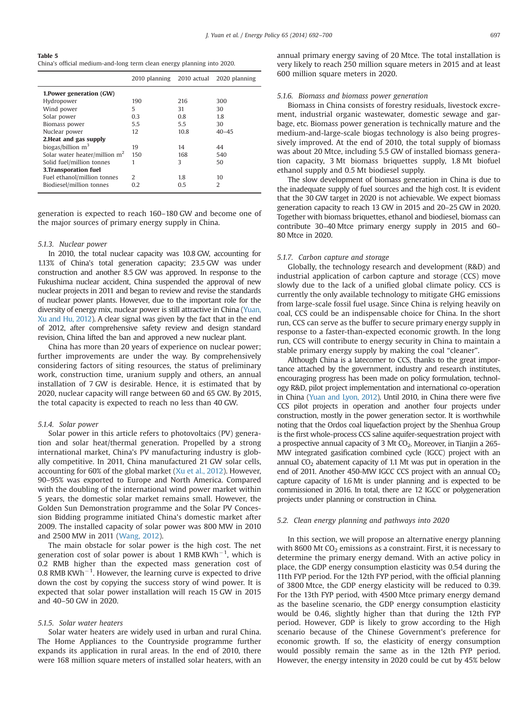<span id="page-5-0"></span>

| Table 5 |                                                                        |  |  |  |
|---------|------------------------------------------------------------------------|--|--|--|
|         | China's official medium-and-long term clean energy planning into 2020. |  |  |  |

|                                 | 2010 planning 2010 actual |      | 2020 planning |
|---------------------------------|---------------------------|------|---------------|
| 1. Power generation (GW)        |                           |      |               |
| Hydropower                      | 190                       | 216  | 300           |
| Wind power                      | 5                         | 31   | 30            |
| Solar power                     | 0.3                       | 0.8  | 1.8           |
| Biomass power                   | 5.5                       | 5.5  | 30            |
| Nuclear power                   | 12                        | 10.8 | $40 - 45$     |
| 2. Heat and gas supply          |                           |      |               |
| biogas/billion $m3$             | 19                        | 14   | 44            |
| Solar water heater/million $m2$ | 150                       | 168  | 540           |
| Solid fuel/million tonnes       |                           | 3    | 50            |
| 3. Transporation fuel           |                           |      |               |
| Fuel ethanol/million tonnes     | $\mathcal{D}$             | 1.8  | 10            |
| Biodiesel/million tonnes        | 0.2                       | 0.5  | 2             |

generation is expected to reach 160–180 GW and become one of the major sources of primary energy supply in China.

#### 5.1.3. Nuclear power

In 2010, the total nuclear capacity was 10.8 GW, accounting for 1.13% of China's total generation capacity; 23.5 GW was under construction and another 8.5 GW was approved. In response to the Fukushima nuclear accident, China suspended the approval of new nuclear projects in 2011 and began to review and revise the standards of nuclear power plants. However, due to the important role for the diversity of energy mix, nuclear power is still attractive in China ([Yuan,](#page-8-0) [Xu and Hu, 2012\)](#page-8-0). A clear signal was given by the fact that in the end of 2012, after comprehensive safety review and design standard revision, China lifted the ban and approved a new nuclear plant.

China has more than 20 years of experience on nuclear power; further improvements are under the way. By comprehensively considering factors of siting resources, the status of preliminary work, construction time, uranium supply and others, an annual installation of 7 GW is desirable. Hence, it is estimated that by 2020, nuclear capacity will range between 60 and 65 GW. By 2015, the total capacity is expected to reach no less than 40 GW.

### 5.1.4. Solar power

Solar power in this article refers to photovoltaics (PV) generation and solar heat/thermal generation. Propelled by a strong international market, China's PV manufacturing industry is globally competitive. In 2011, China manufactured 21 GW solar cells, accounting for 60% of the global market ([Xu et al., 2012\)](#page-8-0). However, 90–95% was exported to Europe and North America. Compared with the doubling of the international wind power market within 5 years, the domestic solar market remains small. However, the Golden Sun Demonstration programme and the Solar PV Concession Bidding programme initiated China's domestic market after 2009. The installed capacity of solar power was 800 MW in 2010 and 2500 MW in 2011 ([Wang, 2012\)](#page-8-0).

The main obstacle for solar power is the high cost. The net generation cost of solar power is about 1 RMB KWh<sup>-1</sup>, which is 0.2 RMB higher than the expected mass generation cost of 0.8 RMB KWh<sup>-1</sup>. However, the learning curve is expected to drive down the cost by copying the success story of wind power. It is expected that solar power installation will reach 15 GW in 2015 and 40–50 GW in 2020.

# 5.1.5. Solar water heaters

Solar water heaters are widely used in urban and rural China. The Home Appliances to the Countryside programme further expands its application in rural areas. In the end of 2010, there were 168 million square meters of installed solar heaters, with an annual primary energy saving of 20 Mtce. The total installation is very likely to reach 250 million square meters in 2015 and at least 600 million square meters in 2020.

#### 5.1.6. Biomass and biomass power generation

Biomass in China consists of forestry residuals, livestock excrement, industrial organic wastewater, domestic sewage and garbage, etc. Biomass power generation is technically mature and the medium-and-large-scale biogas technology is also being progressively improved. At the end of 2010, the total supply of biomass was about 20 Mtce, including 5.5 GW of installed biomass generation capacity, 3 Mt biomass briquettes supply, 1.8 Mt biofuel ethanol supply and 0.5 Mt biodiesel supply.

The slow development of biomass generation in China is due to the inadequate supply of fuel sources and the high cost. It is evident that the 30 GW target in 2020 is not achievable. We expect biomass generation capacity to reach 13 GW in 2015 and 20–25 GW in 2020. Together with biomass briquettes, ethanol and biodiesel, biomass can contribute 30–40 Mtce primary energy supply in 2015 and 60– 80 Mtce in 2020.

#### 5.1.7. Carbon capture and storage

Globally, the technology research and development (R&D) and industrial application of carbon capture and storage (CCS) move slowly due to the lack of a unified global climate policy. CCS is currently the only available technology to mitigate GHG emissions from large-scale fossil fuel usage. Since China is relying heavily on coal, CCS could be an indispensable choice for China. In the short run, CCS can serve as the buffer to secure primary energy supply in response to a faster-than-expected economic growth. In the long run, CCS will contribute to energy security in China to maintain a stable primary energy supply by making the coal "cleaner".

Although China is a latecomer to CCS, thanks to the great importance attached by the government, industry and research institutes, encouraging progress has been made on policy formulation, technology R&D, pilot project implementation and international co-operation in China ([Yuan and Lyon, 2012\)](#page-8-0). Until 2010, in China there were five CCS pilot projects in operation and another four projects under construction, mostly in the power generation sector. It is worthwhile noting that the Ordos coal liquefaction project by the Shenhua Group is the first whole-process CCS saline aquifer-sequestration project with a prospective annual capacity of 3 Mt  $CO<sub>2</sub>$ . Moreover, in Tianjin a 265-MW integrated gasification combined cycle (IGCC) project with an annual  $CO<sub>2</sub>$  abatement capacity of 1.1 Mt was put in operation in the end of 2011. Another 450-MW IGCC CCS project with an annual  $CO<sub>2</sub>$ capture capacity of 1.6 Mt is under planning and is expected to be commissioned in 2016. In total, there are 12 IGCC or polygeneration projects under planning or construction in China.

#### 5.2. Clean energy planning and pathways into 2020

In this section, we will propose an alternative energy planning with 8600 Mt  $CO<sub>2</sub>$  emissions as a constraint. First, it is necessary to determine the primary energy demand. With an active policy in place, the GDP energy consumption elasticity was 0.54 during the 11th FYP period. For the 12th FYP period, with the official planning of 3800 Mtce, the GDP energy elasticity will be reduced to 0.39. For the 13th FYP period, with 4500 Mtce primary energy demand as the baseline scenario, the GDP energy consumption elasticity would be 0.46, slightly higher than that during the 12th FYP period. However, GDP is likely to grow according to the High scenario because of the Chinese Government's preference for economic growth. If so, the elasticity of energy consumption would possibly remain the same as in the 12th FYP period. However, the energy intensity in 2020 could be cut by 45% below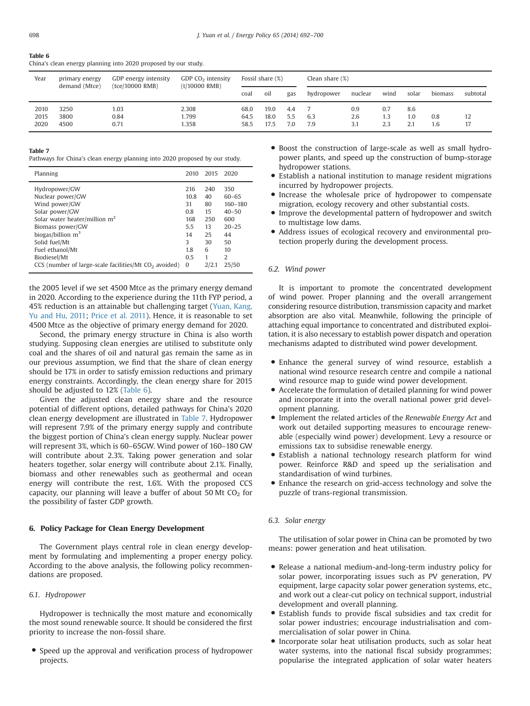### <span id="page-6-0"></span>Table 6

China's clean energy planning into 2020 proposed by our study.

| Year | primary energy<br>demand (Mtce) | GDP energy intensity<br>(tce/10000 RMB) | GDP $CO2$ intensity<br>$(t/10000$ RMB) | Fossil share (%) |      | Clean share $(\%)$ |            |         |      |       |         |          |
|------|---------------------------------|-----------------------------------------|----------------------------------------|------------------|------|--------------------|------------|---------|------|-------|---------|----------|
|      |                                 |                                         |                                        | coal             | oil  | gas                | hydropower | nuclear | wind | solar | biomass | subtotal |
| 2010 | 3250                            | 1.03                                    | 2.308                                  | 68.0             | 19.0 | 4.4                |            | 0.9     | 0.7  | 8.6   |         |          |
| 2015 | 3800                            | 0.84                                    | 1.799                                  | 64.5             | 18.0 | 5.5                | 6.3        | 2.6     | 1.3  | 1.0   | 0.8     | 12       |
| 2020 | 4500                            | 0.71                                    | 1.358                                  | 58.5             | 17.5 | 7.0                | 7.9        |         | 2.3  | 2.1   | 1.6     |          |

#### Table 7

Pathways for China's clean energy planning into 2020 proposed by our study.

| Planning                                                                                                                                           | 2010                                              | 2015                                           | 2020                                                                     |
|----------------------------------------------------------------------------------------------------------------------------------------------------|---------------------------------------------------|------------------------------------------------|--------------------------------------------------------------------------|
| Hydropower/GW<br>Nuclear power/GW<br>Wind power/GW<br>Solar power/GW<br>Solar water heater/million $m2$<br>Biomass power/GW<br>biogas/billion $m3$ | 216<br>10.8<br>31<br>0.8<br>168<br>5.5<br>14<br>3 | 240<br>40<br>80<br>15<br>250<br>13<br>25<br>30 | 350<br>$60 - 65$<br>160-180<br>$40 - 50$<br>600<br>$20 - 25$<br>44<br>50 |
| Solid fuel/Mt<br>Fuel ethanol/Mt                                                                                                                   | 1.8                                               | 6                                              | 10                                                                       |
| Biodiesel/Mt<br>$CCS$ (number of large-scale facilities/Mt $CO2$ avoided)                                                                          | 0.5<br>$\Omega$                                   | 1<br>2/2.1                                     | $\overline{2}$<br>25/50                                                  |
|                                                                                                                                                    |                                                   |                                                |                                                                          |

the 2005 level if we set 4500 Mtce as the primary energy demand in 2020. According to the experience during the 11th FYP period, a 45% reduction is an attainable but challenging target [\(Yuan, Kang,](#page-8-0) [Yu and Hu, 2011;](#page-8-0) [Price et al. 2011](#page-8-0)). Hence, it is reasonable to set 4500 Mtce as the objective of primary energy demand for 2020.

Second, the primary energy structure in China is also worth studying. Supposing clean energies are utilised to substitute only coal and the shares of oil and natural gas remain the same as in our previous assumption, we find that the share of clean energy should be 17% in order to satisfy emission reductions and primary energy constraints. Accordingly, the clean energy share for 2015 should be adjusted to 12% (Table 6).

Given the adjusted clean energy share and the resource potential of different options, detailed pathways for China's 2020 clean energy development are illustrated in Table 7. Hydropower will represent 7.9% of the primary energy supply and contribute the biggest portion of China's clean energy supply. Nuclear power will represent 3%, which is 60–65GW. Wind power of 160–180 GW will contribute about 2.3%. Taking power generation and solar heaters together, solar energy will contribute about 2.1%. Finally, biomass and other renewables such as geothermal and ocean energy will contribute the rest, 1.6%. With the proposed CCS capacity, our planning will leave a buffer of about 50 Mt  $CO<sub>2</sub>$  for the possibility of faster GDP growth.

#### 6. Policy Package for Clean Energy Development

The Government plays central role in clean energy development by formulating and implementing a proper energy policy. According to the above analysis, the following policy recommendations are proposed.

## 6.1. Hydropower

Hydropower is technically the most mature and economically the most sound renewable source. It should be considered the first priority to increase the non-fossil share.

• Speed up the approval and verification process of hydropower projects.

- Boost the construction of large-scale as well as small hydropower plants, and speed up the construction of bump-storage hydropower stations.
- Establish a national institution to manage resident migrations incurred by hydropower projects.
- Increase the wholesale price of hydropower to compensate migration, ecology recovery and other substantial costs.
- Improve the developmental pattern of hydropower and switch to multistage low dams.
- Address issues of ecological recovery and environmental protection properly during the development process.

## 6.2. Wind power

It is important to promote the concentrated development of wind power. Proper planning and the overall arrangement considering resource distribution, transmission capacity and market absorption are also vital. Meanwhile, following the principle of attaching equal importance to concentrated and distributed exploitation, it is also necessary to establish power dispatch and operation mechanisms adapted to distributed wind power development.

- Enhance the general survey of wind resource, establish a national wind resource research centre and compile a national wind resource map to guide wind power development.
- Accelerate the formulation of detailed planning for wind power and incorporate it into the overall national power grid development planning.
- Implement the related articles of the Renewable Energy Act and work out detailed supporting measures to encourage renewable (especially wind power) development. Levy a resource or emissions tax to subsidise renewable energy.
- Establish a national technology research platform for wind power. Reinforce R&D and speed up the serialisation and standardisation of wind turbines.
- Enhance the research on grid-access technology and solve the puzzle of trans-regional transmission.

## 6.3. Solar energy

The utilisation of solar power in China can be promoted by two means: power generation and heat utilisation.

- Release a national medium-and-long-term industry policy for solar power, incorporating issues such as PV generation, PV equipment, large capacity solar power generation systems, etc., and work out a clear-cut policy on technical support, industrial development and overall planning.
- Establish funds to provide fiscal subsidies and tax credit for solar power industries; encourage industrialisation and commercialisation of solar power in China.
- Incorporate solar heat utilisation products, such as solar heat water systems, into the national fiscal subsidy programmes; popularise the integrated application of solar water heaters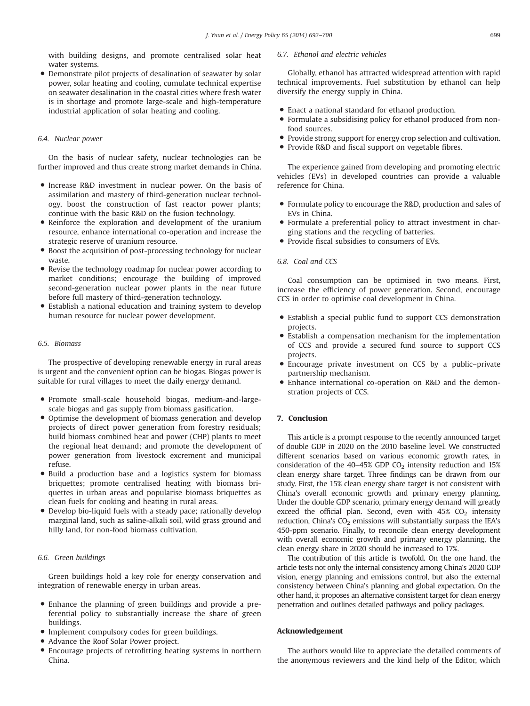<span id="page-7-0"></span>with building designs, and promote centralised solar heat water systems.

 Demonstrate pilot projects of desalination of seawater by solar power, solar heating and cooling, cumulate technical expertise on seawater desalination in the coastal cities where fresh water is in shortage and promote large-scale and high-temperature industrial application of solar heating and cooling.

# 6.4. Nuclear power

On the basis of nuclear safety, nuclear technologies can be further improved and thus create strong market demands in China.

- Increase R&D investment in nuclear power. On the basis of assimilation and mastery of third-generation nuclear technology, boost the construction of fast reactor power plants; continue with the basic R&D on the fusion technology.
- Reinforce the exploration and development of the uranium resource, enhance international co-operation and increase the strategic reserve of uranium resource.
- Boost the acquisition of post-processing technology for nuclear waste.
- Revise the technology roadmap for nuclear power according to market conditions; encourage the building of improved second-generation nuclear power plants in the near future before full mastery of third-generation technology.
- Establish a national education and training system to develop human resource for nuclear power development.

## 6.5. Biomass

The prospective of developing renewable energy in rural areas is urgent and the convenient option can be biogas. Biogas power is suitable for rural villages to meet the daily energy demand.

- Promote small-scale household biogas, medium-and-largescale biogas and gas supply from biomass gasification.
- Optimise the development of biomass generation and develop projects of direct power generation from forestry residuals; build biomass combined heat and power (CHP) plants to meet the regional heat demand; and promote the development of power generation from livestock excrement and municipal refuse.
- Build a production base and a logistics system for biomass briquettes; promote centralised heating with biomass briquettes in urban areas and popularise biomass briquettes as clean fuels for cooking and heating in rural areas.
- Develop bio-liquid fuels with a steady pace; rationally develop marginal land, such as saline-alkali soil, wild grass ground and hilly land, for non-food biomass cultivation.

## 6.6. Green buildings

Green buildings hold a key role for energy conservation and integration of renewable energy in urban areas.

- Enhance the planning of green buildings and provide a preferential policy to substantially increase the share of green buildings.
- Implement compulsory codes for green buildings.
- Advance the Roof Solar Power project.
- Encourage projects of retrofitting heating systems in northern China.

## 6.7. Ethanol and electric vehicles

Globally, ethanol has attracted widespread attention with rapid technical improvements. Fuel substitution by ethanol can help diversify the energy supply in China.

- Enact a national standard for ethanol production.
- Formulate a subsidising policy for ethanol produced from nonfood sources.
- Provide strong support for energy crop selection and cultivation.
- Provide R&D and fiscal support on vegetable fibres.

The experience gained from developing and promoting electric vehicles (EVs) in developed countries can provide a valuable reference for China.

- Formulate policy to encourage the R&D, production and sales of EVs in China.
- Formulate a preferential policy to attract investment in charging stations and the recycling of batteries.
- Provide fiscal subsidies to consumers of EVs.

## 6.8. Coal and CCS

Coal consumption can be optimised in two means. First, increase the efficiency of power generation. Second, encourage CCS in order to optimise coal development in China.

- Establish a special public fund to support CCS demonstration projects.
- Establish a compensation mechanism for the implementation of CCS and provide a secured fund source to support CCS projects.
- Encourage private investment on CCS by a public–private partnership mechanism.
- Enhance international co-operation on R&D and the demonstration projects of CCS.

## 7. Conclusion

This article is a prompt response to the recently announced target of double GDP in 2020 on the 2010 baseline level. We constructed different scenarios based on various economic growth rates, in consideration of the 40-45% GDP  $CO<sub>2</sub>$  intensity reduction and 15% clean energy share target. Three findings can be drawn from our study. First, the 15% clean energy share target is not consistent with China's overall economic growth and primary energy planning. Under the double GDP scenario, primary energy demand will greatly exceed the official plan. Second, even with  $45\%$  CO<sub>2</sub> intensity reduction, China's  $CO<sub>2</sub>$  emissions will substantially surpass the IEA's 450-ppm scenario. Finally, to reconcile clean energy development with overall economic growth and primary energy planning, the clean energy share in 2020 should be increased to 17%.

The contribution of this article is twofold. On the one hand, the article tests not only the internal consistency among China's 2020 GDP vision, energy planning and emissions control, but also the external consistency between China's planning and global expectation. On the other hand, it proposes an alternative consistent target for clean energy penetration and outlines detailed pathways and policy packages.

#### Acknowledgement

The authors would like to appreciate the detailed comments of the anonymous reviewers and the kind help of the Editor, which